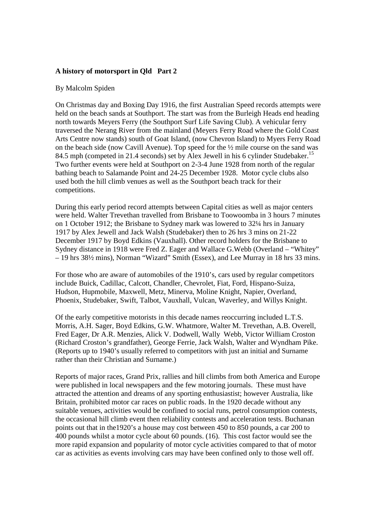## **A history of motorsport in Qld Part 2**

## By Malcolm Spiden

On Christmas day and Boxing Day 1916, the first Australian Speed records attempts were held on the beach sands at Southport. The start was from the Burleigh Heads end heading north towards Meyers Ferry (the Southport Surf Life Saving Club). A vehicular ferry traversed the Nerang River from the mainland (Meyers Ferry Road where the Gold Coast Arts Centre now stands) south of Goat Island, (now Chevron Island) to Myers Ferry Road on the beach side (now Cavill Avenue). Top speed for the  $\frac{1}{2}$  mile course on the sand was 84.5 mph (competed in 21.4 seconds) set by Alex Jewell in his 6 cylinder Studebaker.<sup>15</sup> Two further events were held at Southport on 2-3-4 June 1928 from north of the regular bathing beach to Salamande Point and 24-25 December 1928. Motor cycle clubs also used both the hill climb venues as well as the Southport beach track for their competitions.

During this early period record attempts between Capital cities as well as major centers were held. Walter Trevethan travelled from Brisbane to Toowoomba in 3 hours 7 minutes on 1 October 1912; the Brisbane to Sydney mark was lowered to 32¼ hrs in January 1917 by Alex Jewell and Jack Walsh (Studebaker) then to 26 hrs 3 mins on 21-22 December 1917 by Boyd Edkins (Vauxhall). Other record holders for the Brisbane to Sydney distance in 1918 were Fred Z. Eager and Wallace G.Webb (Overland – "Whitey" – 19 hrs 38½ mins), Norman "Wizard" Smith (Essex), and Lee Murray in 18 hrs 33 mins.

For those who are aware of automobiles of the 1910's, cars used by regular competitors include Buick, Cadillac, Calcott, Chandler, Chevrolet, Fiat, Ford, Hispano-Suiza, Hudson, Hupmobile, Maxwell, Metz, Minerva, Moline Knight, Napier, Overland, Phoenix, Studebaker, Swift, Talbot, Vauxhall, Vulcan, Waverley, and Willys Knight.

Of the early competitive motorists in this decade names reoccurring included L.T.S. Morris, A.H. Sager, Boyd Edkins, G.W. Whatmore, Walter M. Trevethan, A.B. Overell, Fred Eager, Dr A.R. Menzies, Alick V. Dodwell, Wally Webb, Victor William Croston (Richard Croston's grandfather), George Ferrie, Jack Walsh, Walter and Wyndham Pike. (Reports up to 1940's usually referred to competitors with just an initial and Surname rather than their Christian and Surname.)

Reports of major races, Grand Prix, rallies and hill climbs from both America and Europe were published in local newspapers and the few motoring journals. These must have attracted the attention and dreams of any sporting enthusiastist; however Australia, like Britain, prohibited motor car races on public roads. In the 1920 decade without any suitable venues, activities would be confined to social runs, petrol consumption contests, the occasional hill climb event then reliability contests and acceleration tests. Buchanan points out that in the1920's a house may cost between 450 to 850 pounds, a car 200 to 400 pounds whilst a motor cycle about 60 pounds. (16). This cost factor would see the more rapid expansion and popularity of motor cycle activities compared to that of motor car as activities as events involving cars may have been confined only to those well off.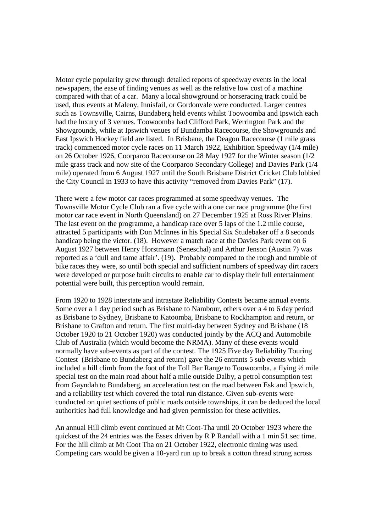Motor cycle popularity grew through detailed reports of speedway events in the local newspapers, the ease of finding venues as well as the relative low cost of a machine compared with that of a car. Many a local showground or horseracing track could be used, thus events at Maleny, Innisfail, or Gordonvale were conducted. Larger centres such as Townsville, Cairns, Bundaberg held events whilst Toowoomba and Ipswich each had the luxury of 3 venues. Toowoomba had Clifford Park, Werrington Park and the Showgrounds, while at Ipswich venues of Bundamba Racecourse, the Showgrounds and East Ipswich Hockey field are listed. In Brisbane, the Deagon Racecourse (1 mile grass track) commenced motor cycle races on 11 March 1922, Exhibition Speedway (1/4 mile) on 26 October 1926, Coorparoo Racecourse on 28 May 1927 for the Winter season (1/2 mile grass track and now site of the Coorparoo Secondary College) and Davies Park (1/4 mile) operated from 6 August 1927 until the South Brisbane District Cricket Club lobbied the City Council in 1933 to have this activity "removed from Davies Park" (17).

There were a few motor car races programmed at some speedway venues. The Townsville Motor Cycle Club ran a five cycle with a one car race programme (the first motor car race event in North Queensland) on 27 December 1925 at Ross River Plains. The last event on the programme, a handicap race over 5 laps of the 1.2 mile course, attracted 5 participants with Don McInnes in his Special Six Studebaker off a 8 seconds handicap being the victor. (18). However a match race at the Davies Park event on 6 August 1927 between Henry Horstmann (Seneschal) and Arthur Jenson (Austin 7) was reported as a 'dull and tame affair'. (19). Probably compared to the rough and tumble of bike races they were, so until both special and sufficient numbers of speedway dirt racers were developed or purpose built circuits to enable car to display their full entertainment potential were built, this perception would remain.

From 1920 to 1928 interstate and intrastate Reliability Contests became annual events. Some over a 1 day period such as Brisbane to Nambour, others over a 4 to 6 day period as Brisbane to Sydney, Brisbane to Katoomba, Brisbane to Rockhampton and return, or Brisbane to Grafton and return. The first multi-day between Sydney and Brisbane (18 October 1920 to 21 October 1920) was conducted jointly by the ACQ and Automobile Club of Australia (which would become the NRMA). Many of these events would normally have sub-events as part of the contest. The 1925 Five day Reliability Touring Contest (Brisbane to Bundaberg and return) gave the 26 entrants 5 sub events which included a hill climb from the foot of the Toll Bar Range to Toowoomba, a flying ½ mile special test on the main road about half a mile outside Dalby, a petrol consumption test from Gayndah to Bundaberg, an acceleration test on the road between Esk and Ipswich, and a reliability test which covered the total run distance. Given sub-events were conducted on quiet sections of public roads outside townships, it can be deduced the local authorities had full knowledge and had given permission for these activities.

An annual Hill climb event continued at Mt Coot-Tha until 20 October 1923 where the quickest of the 24 entries was the Essex driven by R P Randall with a 1 min 51 sec time. For the hill climb at Mt Coot Tha on 21 October 1922, electronic timing was used. Competing cars would be given a 10-yard run up to break a cotton thread strung across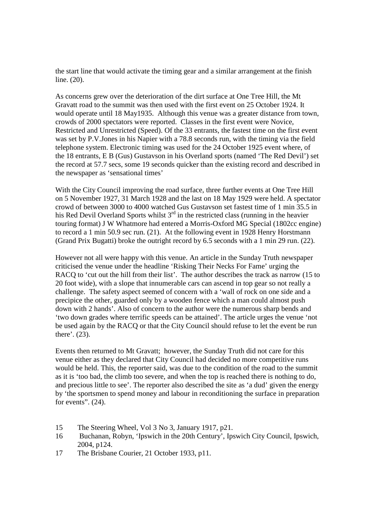the start line that would activate the timing gear and a similar arrangement at the finish line. (20).

As concerns grew over the deterioration of the dirt surface at One Tree Hill, the Mt Gravatt road to the summit was then used with the first event on 25 October 1924. It would operate until 18 May1935. Although this venue was a greater distance from town, crowds of 2000 spectators were reported. Classes in the first event were Novice, Restricted and Unrestricted (Speed). Of the 33 entrants, the fastest time on the first event was set by P.V.Jones in his Napier with a 78.8 seconds run, with the timing via the field telephone system. Electronic timing was used for the 24 October 1925 event where, of the 18 entrants, E B (Gus) Gustavson in his Overland sports (named 'The Red Devil') set the record at 57.7 secs, some 19 seconds quicker than the existing record and described in the newspaper as 'sensational times'

With the City Council improving the road surface, three further events at One Tree Hill on 5 November 1927, 31 March 1928 and the last on 18 May 1929 were held. A spectator crowd of between 3000 to 4000 watched Gus Gustavson set fastest time of 1 min 35.5 in his Red Devil Overland Sports whilst  $3<sup>rd</sup>$  in the restricted class (running in the heavier touring format) J W Whatmore had entered a Morris-Oxford MG Special (1802cc engine) to record a 1 min 50.9 sec run. (21). At the following event in 1928 Henry Horstmann (Grand Prix Bugatti) broke the outright record by 6.5 seconds with a 1 min 29 run. (22).

However not all were happy with this venue. An article in the Sunday Truth newspaper criticised the venue under the headline 'Risking Their Necks For Fame' urging the RACQ to 'cut out the hill from their list'. The author describes the track as narrow (15 to 20 foot wide), with a slope that innumerable cars can ascend in top gear so not really a challenge. The safety aspect seemed of concern with a 'wall of rock on one side and a precipice the other, guarded only by a wooden fence which a man could almost push down with 2 hands'. Also of concern to the author were the numerous sharp bends and 'two down grades where terrific speeds can be attained'. The article urges the venue 'not be used again by the RACQ or that the City Council should refuse to let the event be run there'. (23).

Events then returned to Mt Gravatt; however, the Sunday Truth did not care for this venue either as they declared that City Council had decided no more competitive runs would be held. This, the reporter said, was due to the condition of the road to the summit as it is 'too bad, the climb too severe, and when the top is reached there is nothing to do, and precious little to see'. The reporter also described the site as 'a dud' given the energy by 'the sportsmen to spend money and labour in reconditioning the surface in preparation for events".  $(24)$ .

- 15 The Steering Wheel, Vol 3 No 3, January 1917, p21.
- 16 Buchanan, Robyn, 'Ipswich in the 20th Century', Ipswich City Council, Ipswich, 2004, p124.
- 17 The Brisbane Courier, 21 October 1933, p11.